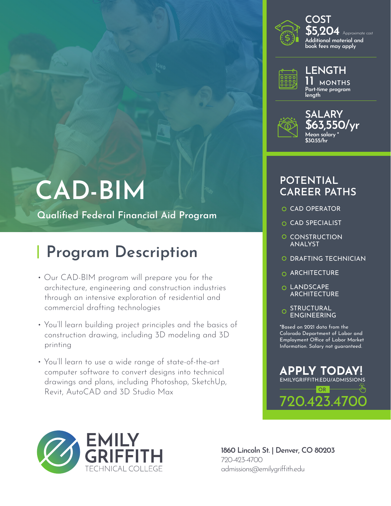

**\$5,204 Additional material and book fees may apply** Approximate cost **COST**



**11 MONTHS Part-time program length LENGTH**



**Mean salary \* \$63,550/yr \$30.55/hr SALARY**

## **POTENTIAL CAREER PATHS**

- O CAD OPERATOR
- O CAD SPECIALIST
- O CONSTRUCTION ANALYST
- O DRAFTING TECHNICIAN
- $\circ$  ARCHITECTURE
- LANDSCAPE ARCHITECTURE
- O STRUCTURAL ENGINEERING

\*Based on 2021 data from the Colorado Department of Labor and Employment Office of Labor Market Information. Salary not guaranteed.





**Qualified Federal Financial Aid Program**

# **Program Description**

- Our CAD-BIM program will prepare you for the architecture, engineering and construction industries through an intensive exploration of residential and commercial drafting technologies
- You'll learn building project principles and the basics of construction drawing, including 3D modeling and 3D printing
- You'll learn to use a wide range of state-of-the-art computer software to convert designs into technical drawings and plans, including Photoshop, SketchUp, Revit, AutoCAD and 3D Studio Max



**1860 Lincoln St. | Denver, CO 80203** 720-423-4700 admissions@emilygriffith.edu